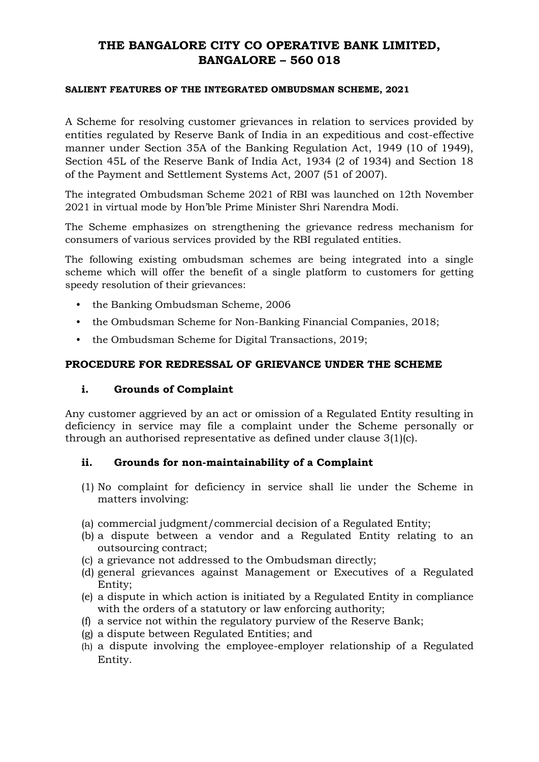# **THE BANGALORE CITY CO OPERATIVE BANK LIMITED, BANGALORE – 560 018**

#### **SALIENT FEATURES OF THE INTEGRATED OMBUDSMAN SCHEME, 2021**

A Scheme for resolving customer grievances in relation to services provided by entities regulated by Reserve Bank of India in an expeditious and cost-effective manner under Section 35A of the Banking Regulation Act, 1949 (10 of 1949), Section 45L of the Reserve Bank of India Act, 1934 (2 of 1934) and Section 18 of the Payment and Settlement Systems Act, 2007 (51 of 2007).

The integrated Ombudsman Scheme 2021 of RBI was launched on 12th November 2021 in virtual mode by Hon'ble Prime Minister Shri Narendra Modi.

The Scheme emphasizes on strengthening the grievance redress mechanism for consumers of various services provided by the RBI regulated entities.

The following existing ombudsman schemes are being integrated into a single scheme which will offer the benefit of a single platform to customers for getting speedy resolution of their grievances:

- the Banking Ombudsman Scheme, 2006
- the Ombudsman Scheme for Non-Banking Financial Companies, 2018;
- the Ombudsman Scheme for Digital Transactions, 2019;

#### **PROCEDURE FOR REDRESSAL OF GRIEVANCE UNDER THE SCHEME**

#### **i. Grounds of Complaint**

Any customer aggrieved by an act or omission of a Regulated Entity resulting in deficiency in service may file a complaint under the Scheme personally or through an authorised representative as defined under clause 3(1)(c).

#### **ii. Grounds for non-maintainability of a Complaint**

- (1) No complaint for deficiency in service shall lie under the Scheme in matters involving:
- (a) commercial judgment/commercial decision of a Regulated Entity;
- (b) a dispute between a vendor and a Regulated Entity relating to an outsourcing contract;
- (c) a grievance not addressed to the Ombudsman directly;
- (d) general grievances against Management or Executives of a Regulated Entity;
- (e) a dispute in which action is initiated by a Regulated Entity in compliance with the orders of a statutory or law enforcing authority;
- (f) a service not within the regulatory purview of the Reserve Bank;
- (g) a dispute between Regulated Entities; and
- (h) a dispute involving the employee-employer relationship of a Regulated Entity.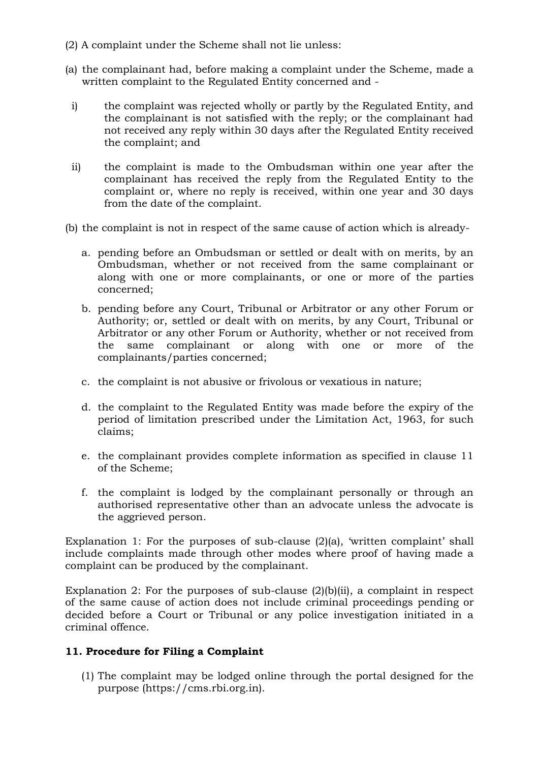- (2) A complaint under the Scheme shall not lie unless:
- (a) the complainant had, before making a complaint under the Scheme, made a written complaint to the Regulated Entity concerned and
	- i) the complaint was rejected wholly or partly by the Regulated Entity, and the complainant is not satisfied with the reply; or the complainant had not received any reply within 30 days after the Regulated Entity received the complaint; and
	- ii) the complaint is made to the Ombudsman within one year after the complainant has received the reply from the Regulated Entity to the complaint or, where no reply is received, within one year and 30 days from the date of the complaint.
- (b) the complaint is not in respect of the same cause of action which is already
	- a. pending before an Ombudsman or settled or dealt with on merits, by an Ombudsman, whether or not received from the same complainant or along with one or more complainants, or one or more of the parties concerned;
	- b. pending before any Court, Tribunal or Arbitrator or any other Forum or Authority; or, settled or dealt with on merits, by any Court, Tribunal or Arbitrator or any other Forum or Authority, whether or not received from the same complainant or along with one or more of the complainants/parties concerned;
	- c. the complaint is not abusive or frivolous or vexatious in nature;
	- d. the complaint to the Regulated Entity was made before the expiry of the period of limitation prescribed under the Limitation Act, 1963, for such claims;
	- e. the complainant provides complete information as specified in clause 11 of the Scheme;
	- f. the complaint is lodged by the complainant personally or through an authorised representative other than an advocate unless the advocate is the aggrieved person.

Explanation 1: For the purposes of sub-clause (2)(a), 'written complaint' shall include complaints made through other modes where proof of having made a complaint can be produced by the complainant.

Explanation 2: For the purposes of sub-clause  $(2)(b)(ii)$ , a complaint in respect of the same cause of action does not include criminal proceedings pending or decided before a Court or Tribunal or any police investigation initiated in a criminal offence.

### **11. Procedure for Filing a Complaint**

(1) The complaint may be lodged online through the portal designed for the purpose (https://cms.rbi.org.in).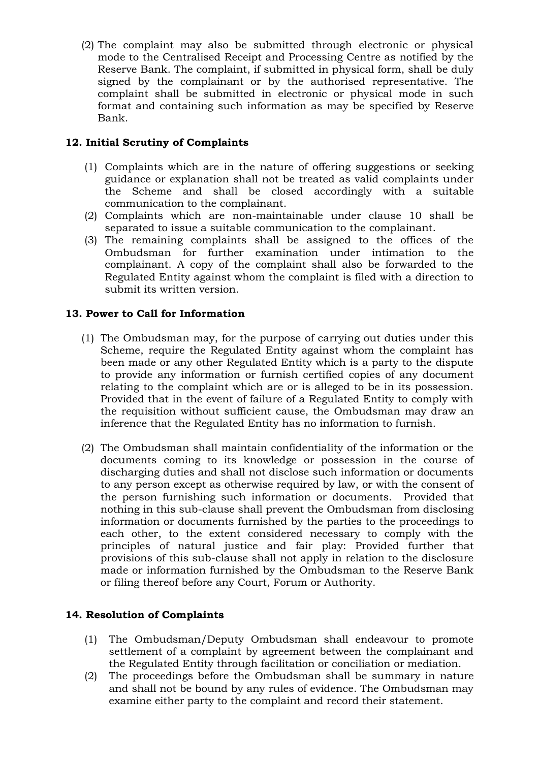(2) The complaint may also be submitted through electronic or physical mode to the Centralised Receipt and Processing Centre as notified by the Reserve Bank. The complaint, if submitted in physical form, shall be duly signed by the complainant or by the authorised representative. The complaint shall be submitted in electronic or physical mode in such format and containing such information as may be specified by Reserve Bank.

## **12. Initial Scrutiny of Complaints**

- (1) Complaints which are in the nature of offering suggestions or seeking guidance or explanation shall not be treated as valid complaints under the Scheme and shall be closed accordingly with a suitable communication to the complainant.
- (2) Complaints which are non-maintainable under clause 10 shall be separated to issue a suitable communication to the complainant.
- (3) The remaining complaints shall be assigned to the offices of the Ombudsman for further examination under intimation to the complainant. A copy of the complaint shall also be forwarded to the Regulated Entity against whom the complaint is filed with a direction to submit its written version.

### **13. Power to Call for Information**

- (1) The Ombudsman may, for the purpose of carrying out duties under this Scheme, require the Regulated Entity against whom the complaint has been made or any other Regulated Entity which is a party to the dispute to provide any information or furnish certified copies of any document relating to the complaint which are or is alleged to be in its possession. Provided that in the event of failure of a Regulated Entity to comply with the requisition without sufficient cause, the Ombudsman may draw an inference that the Regulated Entity has no information to furnish.
- (2) The Ombudsman shall maintain confidentiality of the information or the documents coming to its knowledge or possession in the course of discharging duties and shall not disclose such information or documents to any person except as otherwise required by law, or with the consent of the person furnishing such information or documents. Provided that nothing in this sub-clause shall prevent the Ombudsman from disclosing information or documents furnished by the parties to the proceedings to each other, to the extent considered necessary to comply with the principles of natural justice and fair play: Provided further that provisions of this sub-clause shall not apply in relation to the disclosure made or information furnished by the Ombudsman to the Reserve Bank or filing thereof before any Court, Forum or Authority.

### **14. Resolution of Complaints**

- (1) The Ombudsman/Deputy Ombudsman shall endeavour to promote settlement of a complaint by agreement between the complainant and the Regulated Entity through facilitation or conciliation or mediation.
- (2) The proceedings before the Ombudsman shall be summary in nature and shall not be bound by any rules of evidence. The Ombudsman may examine either party to the complaint and record their statement.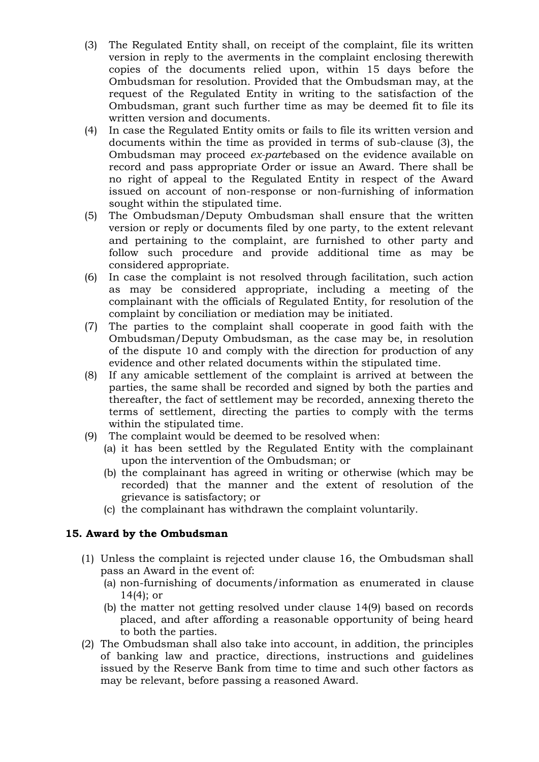- (3) The Regulated Entity shall, on receipt of the complaint, file its written version in reply to the averments in the complaint enclosing therewith copies of the documents relied upon, within 15 days before the Ombudsman for resolution. Provided that the Ombudsman may, at the request of the Regulated Entity in writing to the satisfaction of the Ombudsman, grant such further time as may be deemed fit to file its written version and documents.
- (4) In case the Regulated Entity omits or fails to file its written version and documents within the time as provided in terms of sub-clause (3), the Ombudsman may proceed *ex-parte*based on the evidence available on record and pass appropriate Order or issue an Award. There shall be no right of appeal to the Regulated Entity in respect of the Award issued on account of non-response or non-furnishing of information sought within the stipulated time.
- (5) The Ombudsman/Deputy Ombudsman shall ensure that the written version or reply or documents filed by one party, to the extent relevant and pertaining to the complaint, are furnished to other party and follow such procedure and provide additional time as may be considered appropriate.
- (6) In case the complaint is not resolved through facilitation, such action as may be considered appropriate, including a meeting of the complainant with the officials of Regulated Entity, for resolution of the complaint by conciliation or mediation may be initiated.
- (7) The parties to the complaint shall cooperate in good faith with the Ombudsman/Deputy Ombudsman, as the case may be, in resolution of the dispute 10 and comply with the direction for production of any evidence and other related documents within the stipulated time.
- (8) If any amicable settlement of the complaint is arrived at between the parties, the same shall be recorded and signed by both the parties and thereafter, the fact of settlement may be recorded, annexing thereto the terms of settlement, directing the parties to comply with the terms within the stipulated time.
- (9) The complaint would be deemed to be resolved when:
	- (a) it has been settled by the Regulated Entity with the complainant upon the intervention of the Ombudsman; or
	- (b) the complainant has agreed in writing or otherwise (which may be recorded) that the manner and the extent of resolution of the grievance is satisfactory; or
	- (c) the complainant has withdrawn the complaint voluntarily.

### **15. Award by the Ombudsman**

- (1) Unless the complaint is rejected under clause 16, the Ombudsman shall pass an Award in the event of:
	- (a) non-furnishing of documents/information as enumerated in clause 14(4); or
	- (b) the matter not getting resolved under clause 14(9) based on records placed, and after affording a reasonable opportunity of being heard to both the parties.
- (2) The Ombudsman shall also take into account, in addition, the principles of banking law and practice, directions, instructions and guidelines issued by the Reserve Bank from time to time and such other factors as may be relevant, before passing a reasoned Award.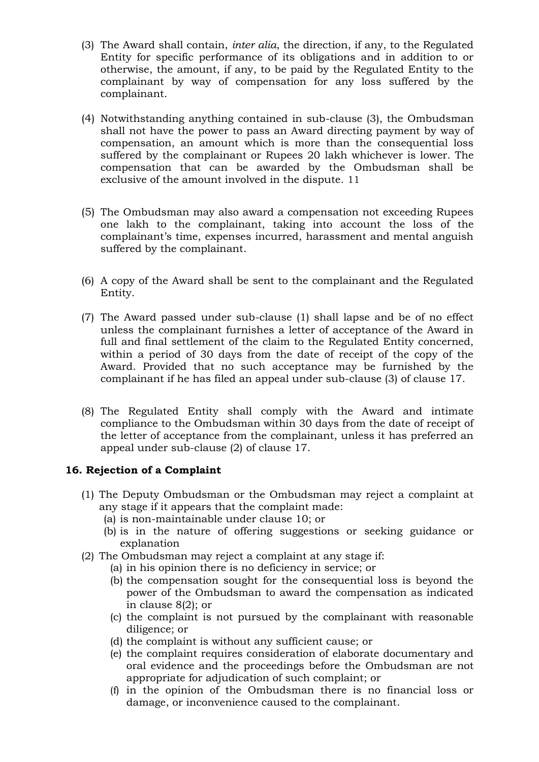- (3) The Award shall contain, *inter alia*, the direction, if any, to the Regulated Entity for specific performance of its obligations and in addition to or otherwise, the amount, if any, to be paid by the Regulated Entity to the complainant by way of compensation for any loss suffered by the complainant.
- (4) Notwithstanding anything contained in sub-clause (3), the Ombudsman shall not have the power to pass an Award directing payment by way of compensation, an amount which is more than the consequential loss suffered by the complainant or Rupees 20 lakh whichever is lower. The compensation that can be awarded by the Ombudsman shall be exclusive of the amount involved in the dispute. 11
- (5) The Ombudsman may also award a compensation not exceeding Rupees one lakh to the complainant, taking into account the loss of the complainant's time, expenses incurred, harassment and mental anguish suffered by the complainant.
- (6) A copy of the Award shall be sent to the complainant and the Regulated Entity.
- (7) The Award passed under sub-clause (1) shall lapse and be of no effect unless the complainant furnishes a letter of acceptance of the Award in full and final settlement of the claim to the Regulated Entity concerned, within a period of 30 days from the date of receipt of the copy of the Award. Provided that no such acceptance may be furnished by the complainant if he has filed an appeal under sub-clause (3) of clause 17.
- (8) The Regulated Entity shall comply with the Award and intimate compliance to the Ombudsman within 30 days from the date of receipt of the letter of acceptance from the complainant, unless it has preferred an appeal under sub-clause (2) of clause 17.

### **16. Rejection of a Complaint**

- (1) The Deputy Ombudsman or the Ombudsman may reject a complaint at any stage if it appears that the complaint made:
	- (a) is non-maintainable under clause 10; or
	- (b) is in the nature of offering suggestions or seeking guidance or explanation
- (2) The Ombudsman may reject a complaint at any stage if:
	- (a) in his opinion there is no deficiency in service; or
	- (b) the compensation sought for the consequential loss is beyond the power of the Ombudsman to award the compensation as indicated in clause 8(2); or
	- (c) the complaint is not pursued by the complainant with reasonable diligence; or
	- (d) the complaint is without any sufficient cause; or
	- (e) the complaint requires consideration of elaborate documentary and oral evidence and the proceedings before the Ombudsman are not appropriate for adjudication of such complaint; or
	- (f) in the opinion of the Ombudsman there is no financial loss or damage, or inconvenience caused to the complainant.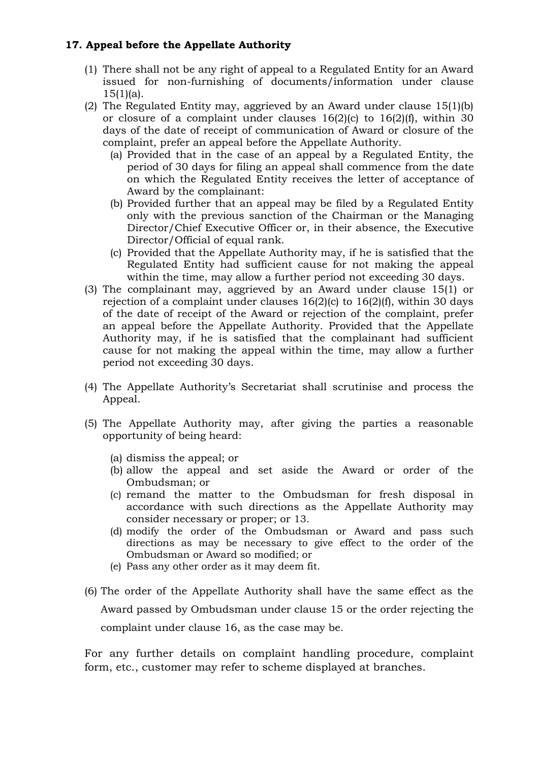## **17. Appeal before the Appellate Authority**

- (1) There shall not be any right of appeal to a Regulated Entity for an Award issued for non-furnishing of documents/information under clause  $15(1)(a)$ .
- (2) The Regulated Entity may, aggrieved by an Award under clause 15(1)(b) or closure of a complaint under clauses 16(2)(c) to 16(2)(f), within 30 days of the date of receipt of communication of Award or closure of the complaint, prefer an appeal before the Appellate Authority.
	- (a) Provided that in the case of an appeal by a Regulated Entity, the period of 30 days for filing an appeal shall commence from the date on which the Regulated Entity receives the letter of acceptance of Award by the complainant:
	- (b) Provided further that an appeal may be filed by a Regulated Entity only with the previous sanction of the Chairman or the Managing Director/Chief Executive Officer or, in their absence, the Executive Director/Official of equal rank.
	- (c) Provided that the Appellate Authority may, if he is satisfied that the Regulated Entity had sufficient cause for not making the appeal within the time, may allow a further period not exceeding 30 days.
- (3) The complainant may, aggrieved by an Award under clause 15(1) or rejection of a complaint under clauses  $16(2)(c)$  to  $16(2)(f)$ , within 30 days of the date of receipt of the Award or rejection of the complaint, prefer an appeal before the Appellate Authority. Provided that the Appellate Authority may, if he is satisfied that the complainant had sufficient cause for not making the appeal within the time, may allow a further period not exceeding 30 days.
- (4) The Appellate Authority's Secretariat shall scrutinise and process the Appeal.
- (5) The Appellate Authority may, after giving the parties a reasonable opportunity of being heard:
	- (a) dismiss the appeal; or
	- (b) allow the appeal and set aside the Award or order of the Ombudsman; or
	- (c) remand the matter to the Ombudsman for fresh disposal in accordance with such directions as the Appellate Authority may consider necessary or proper; or 13.
	- (d) modify the order of the Ombudsman or Award and pass such directions as may be necessary to give effect to the order of the Ombudsman or Award so modified; or
	- (e) Pass any other order as it may deem fit.
- (6) The order of the Appellate Authority shall have the same effect as the Award passed by Ombudsman under clause 15 or the order rejecting the complaint under clause 16, as the case may be.

For any further details on complaint handling procedure, complaint form, etc., customer may refer to scheme displayed at branches.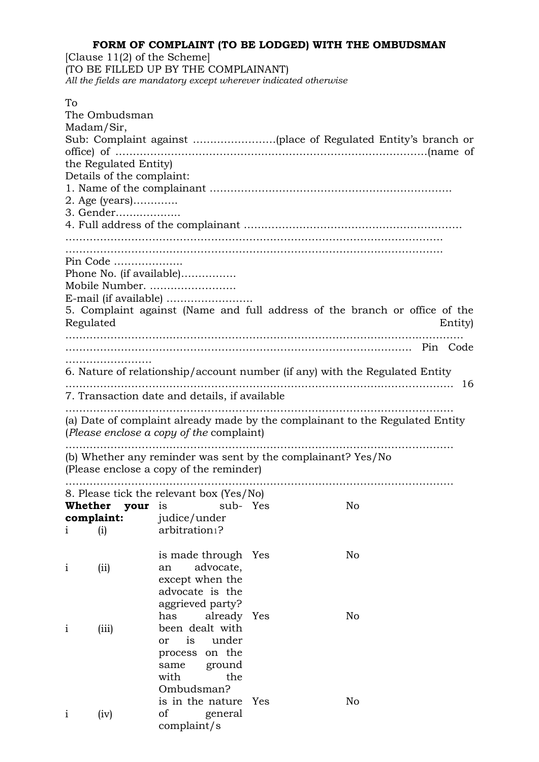#### **FORM OF COMPLAINT (TO BE LODGED) WITH THE OMBUDSMAN**

[Clause 11(2) of the Scheme] (TO BE FILLED UP BY THE COMPLAINANT) *All the fields are mandatory except wherever indicated otherwise* 

| To                                                                                                                        | The Ombudsman |                                          |                                                              |    |  |  |  |  |
|---------------------------------------------------------------------------------------------------------------------------|---------------|------------------------------------------|--------------------------------------------------------------|----|--|--|--|--|
| Madam/Sir,                                                                                                                |               |                                          |                                                              |    |  |  |  |  |
|                                                                                                                           |               |                                          |                                                              |    |  |  |  |  |
| the Regulated Entity)                                                                                                     |               |                                          |                                                              |    |  |  |  |  |
| Details of the complaint:                                                                                                 |               |                                          |                                                              |    |  |  |  |  |
|                                                                                                                           |               |                                          |                                                              |    |  |  |  |  |
| 2. Age (years)<br>3. Gender                                                                                               |               |                                          |                                                              |    |  |  |  |  |
|                                                                                                                           |               |                                          |                                                              |    |  |  |  |  |
|                                                                                                                           |               |                                          |                                                              |    |  |  |  |  |
|                                                                                                                           | Pin Code      |                                          |                                                              |    |  |  |  |  |
|                                                                                                                           |               | Phone No. (if available)                 |                                                              |    |  |  |  |  |
|                                                                                                                           |               | Mobile Number.                           |                                                              |    |  |  |  |  |
|                                                                                                                           |               |                                          |                                                              |    |  |  |  |  |
| 5. Complaint against (Name and full address of the branch or office of the<br>Regulated<br>Entity)                        |               |                                          |                                                              |    |  |  |  |  |
|                                                                                                                           |               |                                          |                                                              |    |  |  |  |  |
|                                                                                                                           |               |                                          |                                                              |    |  |  |  |  |
| 6. Nature of relationship/account number (if any) with the Regulated Entity                                               |               |                                          |                                                              |    |  |  |  |  |
| 16<br>7. Transaction date and details, if available                                                                       |               |                                          |                                                              |    |  |  |  |  |
|                                                                                                                           |               |                                          |                                                              |    |  |  |  |  |
| (a) Date of complaint already made by the complainant to the Regulated Entity<br>(Please enclose a copy of the complaint) |               |                                          |                                                              |    |  |  |  |  |
|                                                                                                                           |               | (Please enclose a copy of the reminder)  | (b) Whether any reminder was sent by the complainant? Yes/No |    |  |  |  |  |
|                                                                                                                           |               |                                          |                                                              |    |  |  |  |  |
|                                                                                                                           |               | 8. Please tick the relevant box (Yes/No) |                                                              |    |  |  |  |  |
|                                                                                                                           |               | Whether your is sub- Yes                 |                                                              | No |  |  |  |  |
| complaint:                                                                                                                |               | judice/under                             |                                                              |    |  |  |  |  |
| $\mathbf{1}$                                                                                                              | (i)           | arbitration <sup>1</sup> ?               |                                                              |    |  |  |  |  |
| $\mathbf{i}$                                                                                                              | (i)           | is made through Yes<br>advocate,<br>an   |                                                              | No |  |  |  |  |
|                                                                                                                           |               | except when the<br>advocate is the       |                                                              |    |  |  |  |  |
|                                                                                                                           |               | aggrieved party?                         |                                                              |    |  |  |  |  |
|                                                                                                                           |               | already Yes<br>has<br>been dealt with    |                                                              | No |  |  |  |  |
| $\mathbf{1}$                                                                                                              | (iii)         | is<br>under<br><sub>or</sub>             |                                                              |    |  |  |  |  |
|                                                                                                                           |               | on the<br>process                        |                                                              |    |  |  |  |  |
|                                                                                                                           |               | ground<br>same                           |                                                              |    |  |  |  |  |
|                                                                                                                           |               | with<br>the                              |                                                              |    |  |  |  |  |
|                                                                                                                           |               | Ombudsman?                               |                                                              |    |  |  |  |  |
|                                                                                                                           |               | is in the nature                         | Yes                                                          | No |  |  |  |  |
| $\mathbf{1}$                                                                                                              | (iv)          | of<br>general                            |                                                              |    |  |  |  |  |
|                                                                                                                           |               | complaint/s                              |                                                              |    |  |  |  |  |